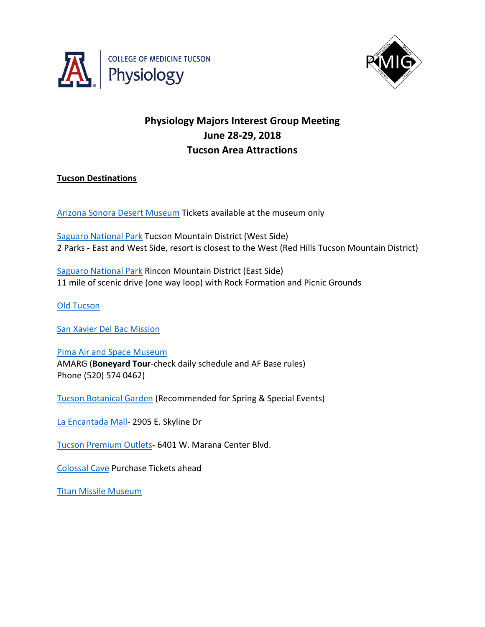



# **Physiology Majors Interest Group Meeting June 28-29, 2018 Tucson Area Attractions**

## **Tucson Destinations**

[Arizona Sonora Desert Museum](https://www.desertmuseum.org/) Tickets available at the museum only

[Saguaro National Park](https://www.nps.gov/sagu/index.htm) Tucson Mountain District (West Side) 2 Parks - East and West Side, resort is closest to the West (Red Hills Tucson Mountain District)

[Saguaro National Park](https://www.nps.gov/sagu/index.htm) Rincon Mountain District (East Side) 11 mile of scenic drive (one way loop) with Rock Formation and Picnic Grounds

[Old Tucson](http://oldtucson.com/) 

[San Xavier Del Bac Mission](http://www.sanxaviermission.org/)

[Pima Air and Space Museum](http://www.pimaair.org/) AMARG (**Boneyard Tour**-check daily schedule and AF Base rules) Phone (520) 574 0462)

[Tucson Botanical Garden](https://tucsonbotanical.org/) (Recommended for Spring & Special Events)

[La Encantada Mall-](http://www.laencantadashoppingcenter.com/) 2905 E. Skyline Dr

[Tucson Premium Outlets-](http://www.premiumoutlets.com/outlet/tucson) 6401 W. Marana Center Blvd.

[Colossal Cave](http://colossalcave.com/) Purchase Tickets ahead

[Titan Missile Museum](http://www.titanmissilemuseum.org/)